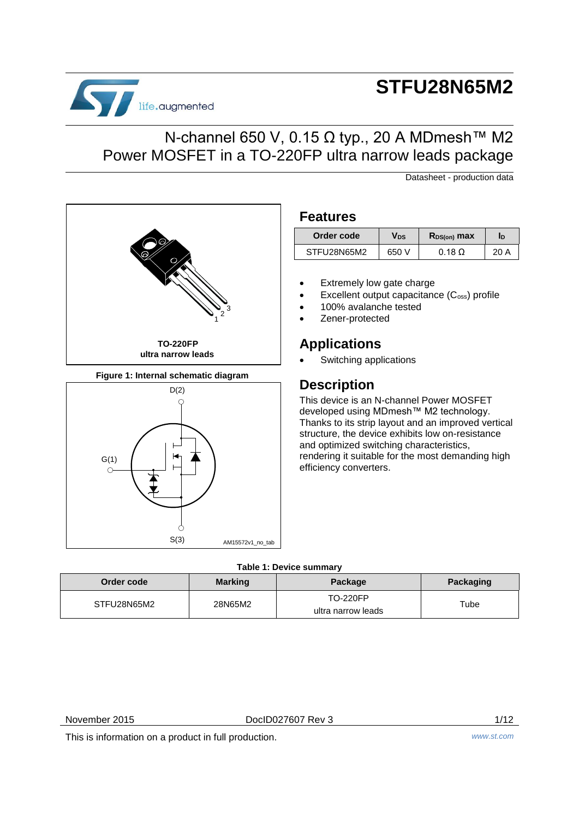# life.augmented

## **STFU28N65M2**

## N-channel 650 V, 0.15 Ω typ., 20 A MDmesh™ M2 Power MOSFET in a TO-220FP ultra narrow leads package

Datasheet - production data

### **Features**

| Order code  | Vds   | $R_{DS(on)}$ max | ID   |
|-------------|-------|------------------|------|
| STFU28N65M2 | 650 V | $0.18\Omega$     | 20 A |

- Extremely low gate charge
- Excellent output capacitance (C<sub>oss</sub>) profile
- 100% avalanche tested
- Zener-protected

## **Applications**

Switching applications

## **Description**

This device is an N-channel Power MOSFET developed using MDmesh™ M2 technology. Thanks to its strip layout and an improved vertical structure, the device exhibits low on-resistance and optimized switching characteristics, rendering it suitable for the most demanding high efficiency converters.

#### **Table 1: Device summary**

AM15572v1\_no\_tab

| Order code  | <b>Marking</b> | Package                               | <b>Packaging</b> |
|-------------|----------------|---------------------------------------|------------------|
| STFU28N65M2 | 28N65M2        | <b>TO-220FP</b><br>ultra narrow leads | Tube             |

G(1)

C

November 2015 DocID027607 Rev 3 1/12

This is information on a product in full production. *www.st.com*

<span id="page-0-0"></span>**Figure 1: Internal schematic diagram**

 $D(2)$ 

C

S(3)

Ċ

**TO-220FP ultra narrow leads**

1 2 3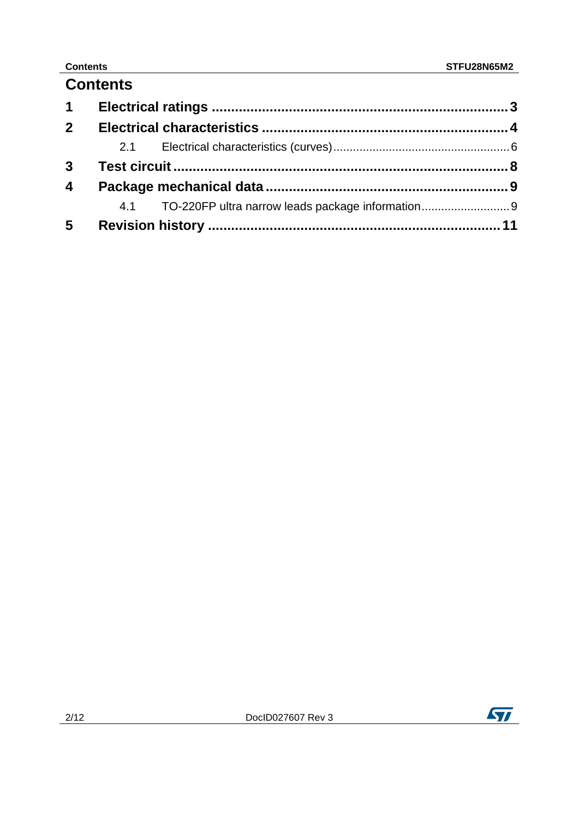## **Contents**

| 1 <sup>1</sup>          |  |  |
|-------------------------|--|--|
| 2 <sup>1</sup>          |  |  |
|                         |  |  |
|                         |  |  |
| $\overline{\mathbf{4}}$ |  |  |
|                         |  |  |
| $5\overline{)}$         |  |  |

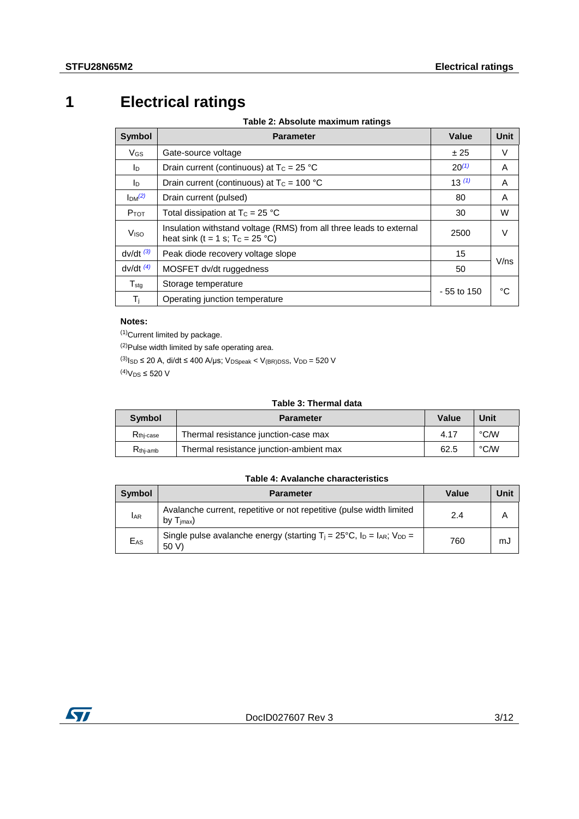## **1 Electrical ratings**

**Table 2: Absolute maximum ratings**

<span id="page-2-0"></span>

| <b>Symbol</b>         | <b>Parameter</b>                                                                                           | Value       | Unit |
|-----------------------|------------------------------------------------------------------------------------------------------------|-------------|------|
| <b>V<sub>GS</sub></b> | Gate-source voltage                                                                                        | ± 25        | V    |
| In.                   | Drain current (continuous) at $T_c = 25 °C$                                                                | $20^{(1)}$  | A    |
| <b>I</b> D            | Drain current (continuous) at $T_c = 100 °C$                                                               | 13(1)       | A    |
| Im <sup>(2)</sup>     | Drain current (pulsed)                                                                                     | 80          | A    |
| $P_{TOT}$             | Total dissipation at $T_c = 25$ °C                                                                         | 30          | W    |
| Viso                  | Insulation withstand voltage (RMS) from all three leads to external<br>heat sink (t = 1 s; $T_c = 25 °C$ ) | 2500        | V    |
| $dv/dt$ $(3)$         | Peak diode recovery voltage slope                                                                          | 15          |      |
| $dv/dt$ $(4)$         | MOSFET dv/dt ruggedness                                                                                    | 50          | V/ns |
| $T_{\text{stg}}$      | Storage temperature                                                                                        |             | °C   |
| Τj                    | Operating junction temperature                                                                             | - 55 to 150 |      |

#### **Notes:**

<span id="page-2-1"></span>(1)Current limited by package.

<span id="page-2-2"></span>(2)Pulse width limited by safe operating area.

<span id="page-2-4"></span><span id="page-2-3"></span> $^{(3)}$ I<sub>SD</sub> ≤ 20 A, di/dt ≤ 400 A/µs; V<sub>DSpeak</sub> < V<sub>(BR)DSS</sub>, V<sub>DD</sub> = 520 V (4) $V_{DS} \leq 520$  V

#### **Table 3: Thermal data**

<span id="page-2-5"></span>

| Symbol                    | <b>Parameter</b>                        | Value | Unit |
|---------------------------|-----------------------------------------|-------|------|
| $R_{\rm thi\text{-}case}$ | Thermal resistance junction-case max    | 4.17  | °C∕W |
| $R_{\text{thi-amb}}$      | Thermal resistance junction-ambient max | 62.5  | °C∕W |

#### **Table 4: Avalanche characteristics**

| <b>Symbol</b>   | <b>Parameter</b>                                                                                   | Value | Jnit |
|-----------------|----------------------------------------------------------------------------------------------------|-------|------|
| <b>IAR</b>      | Avalanche current, repetitive or not repetitive (pulse width limited<br>$T_{\text{imax}}$<br>b٧    | 2.4   | Α    |
| E <sub>AS</sub> | Single pulse avalanche energy (starting $T_i = 25^{\circ}C$ , $I_D = I_{AR}$ ; $V_{DD} =$<br>50 V) | 760   | mJ   |

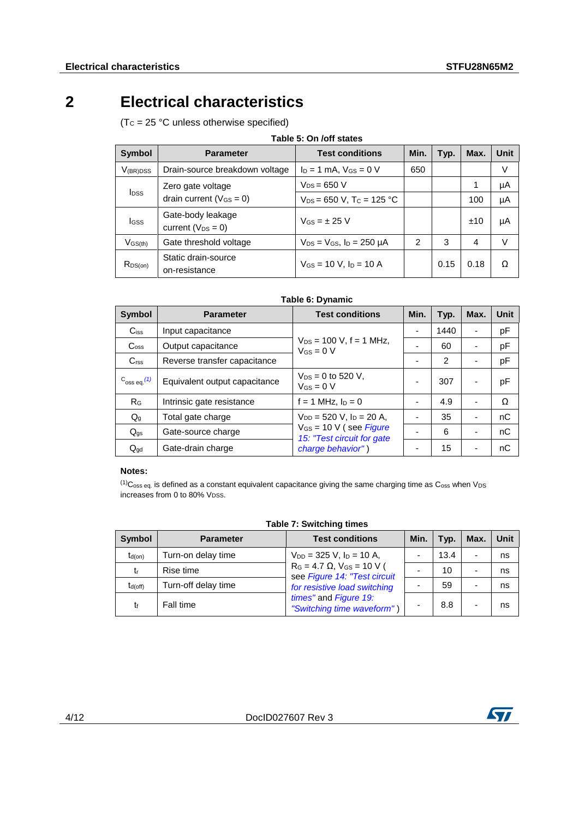## **2 Electrical characteristics**

<span id="page-3-0"></span> $(Tc = 25 °C$  unless otherwise specified)

| Table 5: On /off states                                   |                                               |                                           |      |      |      |      |
|-----------------------------------------------------------|-----------------------------------------------|-------------------------------------------|------|------|------|------|
| Symbol                                                    | <b>Parameter</b>                              | <b>Test conditions</b>                    | Min. | Typ. | Max. | Unit |
| $V_{(BR)DSS}$                                             | Drain-source breakdown voltage                | $I_D = 1$ mA, $V_{GS} = 0$ V              | 650  |      |      | V    |
|                                                           | Zero gate voltage                             | $V_{DS}$ = 650 V                          |      |      |      | μA   |
| <b>I</b> <sub>DSS</sub><br>drain current ( $V_{GS} = 0$ ) | $V_{DS}$ = 650 V, T <sub>C</sub> = 125 °C     |                                           |      | 100  | μA   |      |
| <b>I</b> GSS                                              | Gate-body leakage<br>current ( $V_{DS} = 0$ ) | $V$ <sub>GS</sub> = $\pm$ 25 V            |      |      | ±10  | μA   |
| $V$ GS(th)                                                | Gate threshold voltage                        | $V_{DS}$ = $V_{GS}$ , $I_D$ = 250 $\mu$ A | 2    | 3    | 4    | V    |
| $R_{DS(on)}$                                              | Static drain-source<br>on-resistance          | $V$ <sub>GS</sub> = 10 V, $I_D$ = 10 A    |      | 0.15 | 0.18 | Ω    |

#### **Table 6: Dynamic**

| <b>Symbol</b>               | <b>Parameter</b>              | <b>Test conditions</b>                                    | Min. | Typ. | Max.                     | <b>Unit</b> |
|-----------------------------|-------------------------------|-----------------------------------------------------------|------|------|--------------------------|-------------|
| $C_{iss}$                   | Input capacitance             |                                                           |      | 1440 | $\blacksquare$           | pF          |
| $\mathrm{C}_{\mathrm{oss}}$ | Output capacitance            | $V_{DS}$ = 100 V, f = 1 MHz,<br>$V_{GS} = 0 V$            |      | 60   |                          | pF          |
| C <sub>rss</sub>            | Reverse transfer capacitance  |                                                           |      | 2    |                          | pF          |
| $C_{\rm 0SS}$ eq. $(1)$     | Equivalent output capacitance | $V_{DS} = 0$ to 520 V,<br>$V$ Gs = 0 V                    |      | 307  |                          | pF          |
| $R_G$                       | Intrinsic gate resistance     | $f = 1$ MHz, $I_D = 0$                                    |      | 4.9  |                          | Ω           |
| $Q_{g}$                     | Total gate charge             | $V_{DD} = 520$ V, $I_D = 20$ A,                           |      | 35   |                          | nC          |
| $Q_{qs}$                    | Gate-source charge            | $V_{GS}$ = 10 V (see Figure<br>15: "Test circuit for gate |      | 6    |                          | nC          |
| $Q_{\text{qd}}$             | Gate-drain charge             | charge behavior")                                         |      | 15   | $\overline{\phantom{0}}$ | nC          |

#### **Notes:**

<span id="page-3-1"></span> $<sup>(1)</sup>C<sub>oss eq.</sub>$  is defined as a constant equivalent capacitance giving the same charging time as  $C<sub>oss</sub>$  when V<sub>DS</sub></sup> increases from 0 to 80%  $V_{DSS}$ .

| <b>Symbol</b> | <b>Parameter</b>    | <b>Test conditions</b>                                                 | Min. | Typ. | Max. | Unit |
|---------------|---------------------|------------------------------------------------------------------------|------|------|------|------|
| $t_{d(on)}$   | Turn-on delay time  | $V_{DD}$ = 325 V, $I_D$ = 10 A,                                        |      | 13.4 |      | ns   |
| tr            | Rise time           | $R_G = 4.7 \Omega$ , $V_{GS} = 10 V$ (<br>see Figure 14: "Test circuit |      | 10   |      | ns   |
| $t_{d(off)}$  | Turn-off delay time | for resistive load switching                                           |      | 59   |      | ns   |
|               | Fall time           | times" and Figure 19:<br>"Switching time waveform")                    |      | 8.8  |      | ns   |

#### **Table 7: Switching times**

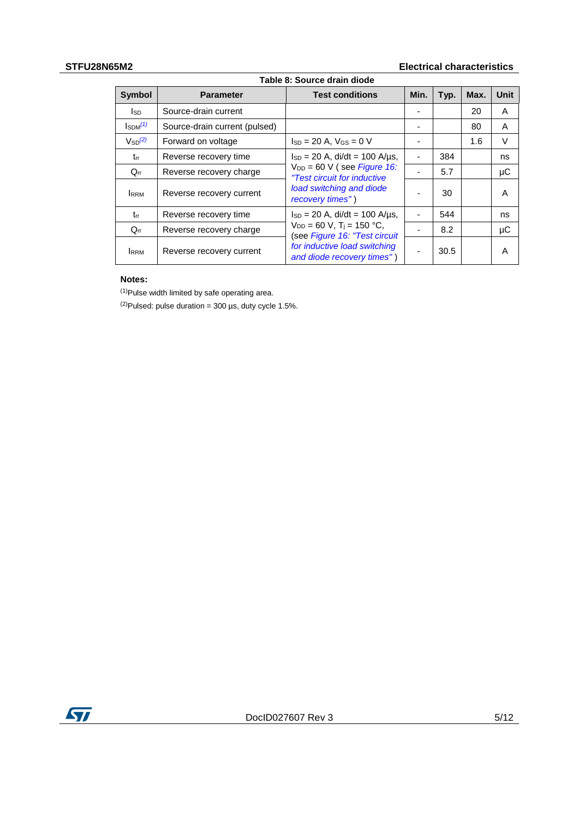## **STFU28N65M2 Electrical characteristics**

| Table 8: Source drain diode |                                                                                                       |                                                                |      |      |      |             |
|-----------------------------|-------------------------------------------------------------------------------------------------------|----------------------------------------------------------------|------|------|------|-------------|
| <b>Symbol</b>               | <b>Parameter</b>                                                                                      | <b>Test conditions</b>                                         | Min. | Typ. | Max. | <b>Unit</b> |
| lsd.                        | Source-drain current                                                                                  |                                                                |      |      | 20   | A           |
| $\mathsf{IsDM}^{(1)}$       | Source-drain current (pulsed)                                                                         |                                                                |      |      | 80   | A           |
| $V_{SD}^{(2)}$              | Forward on voltage                                                                                    | $Is_D = 20 A$ , $V_{GS} = 0 V$                                 |      |      | 1.6  | V           |
| trr                         | Reverse recovery time                                                                                 | $I_{SD} = 20$ A, di/dt = 100 A/us,                             |      | 384  |      | ns          |
| $Q_{rr}$                    | Reverse recovery charge                                                                               | $V_{DD}$ = 60 V (see Figure 16:<br>"Test circuit for inductive |      | 5.7  |      | μC          |
| <b>RRM</b>                  | Reverse recovery current                                                                              | load switching and diode<br>recovery times")                   |      | 30   |      | A           |
| $t_{rr}$                    | $I_{SD} = 20$ A, di/dt = 100 A/us,<br>Reverse recovery time                                           |                                                                | ۰    | 544  |      | ns          |
| $Q_{rr}$                    | $V_{DD} = 60$ V, T <sub>i</sub> = 150 °C,<br>Reverse recovery charge<br>(see Figure 16: "Test circuit |                                                                |      | 8.2  |      | μC          |
| <b>IRRM</b>                 | Reverse recovery current                                                                              | for inductive load switching<br>and diode recovery times")     | ۰    | 30.5 |      | A           |

#### **Notes:**

<span id="page-4-0"></span> $(1)$ Pulse width limited by safe operating area.

<span id="page-4-1"></span> $^{(2)}$ Pulsed: pulse duration = 300 µs, duty cycle 1.5%.

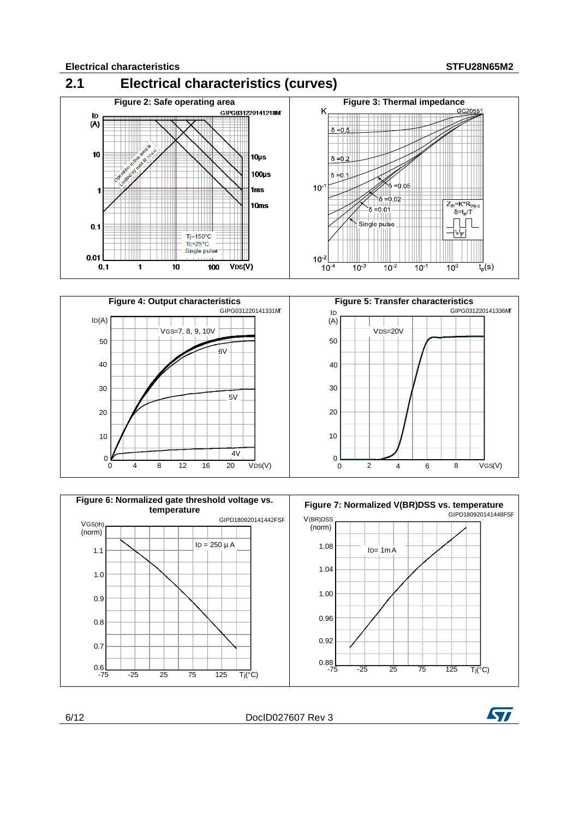<span id="page-5-0"></span>





6/12 DocID027607 Rev 3

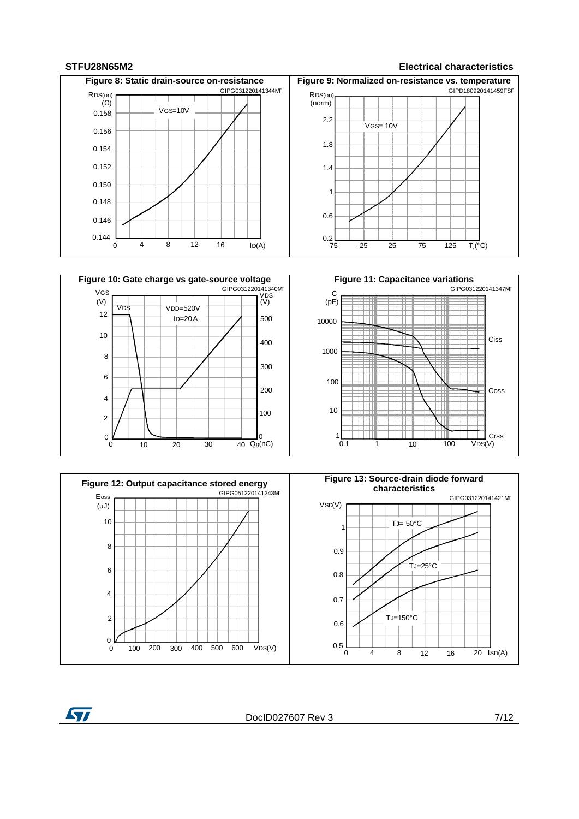ST

#### **STFU28N65M2 Electrical characteristics**







DocID027607 Rev 3 7/12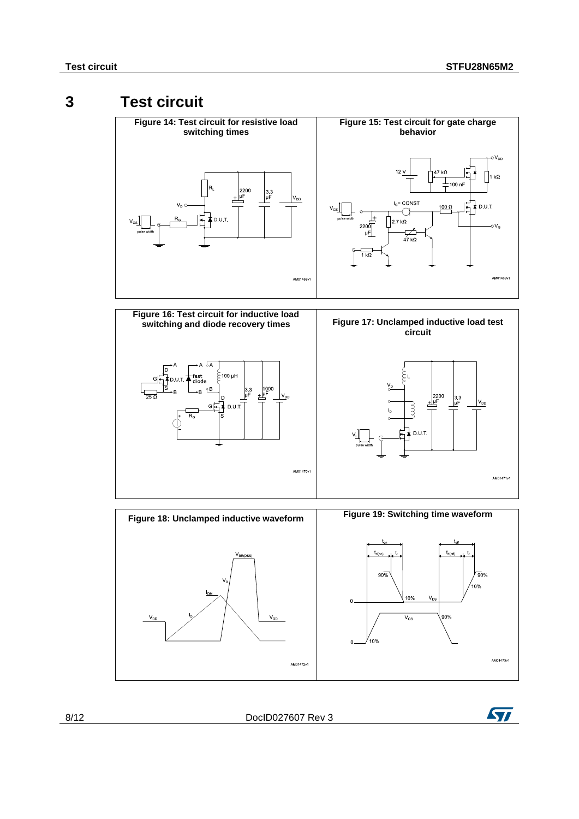## **3 Test circuit**

<span id="page-7-2"></span><span id="page-7-1"></span><span id="page-7-0"></span>

<span id="page-7-4"></span>

<span id="page-7-3"></span>

8/12 DocID027607 Rev 3

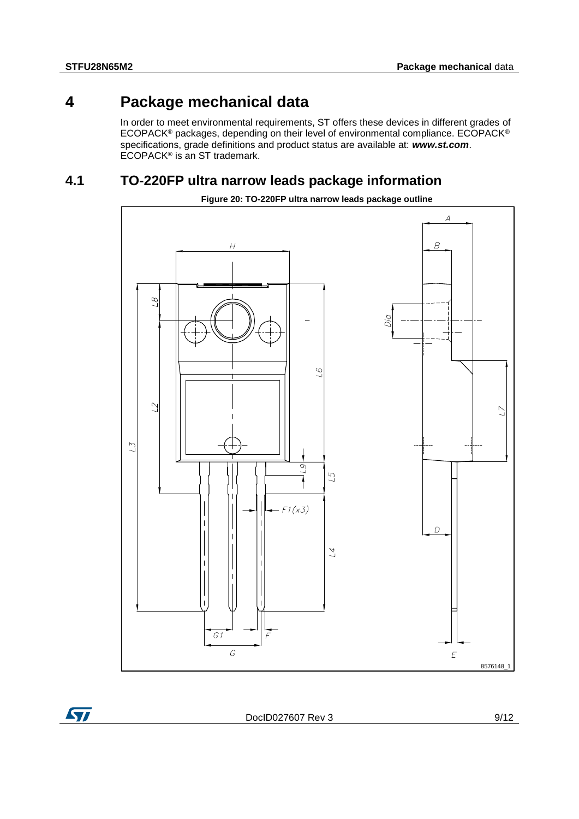## **4 Package mechanical data**

<span id="page-8-0"></span>In order to meet environmental requirements, ST offers these devices in different grades of ECOPACK® packages, depending on their level of environmental compliance. ECOPACK® specifications, grade definitions and product status are available at: *www.st.com*. ECOPACK<sup>®</sup> is an ST trademark.

## **4.1 TO-220FP ultra narrow leads package information**

<span id="page-8-1"></span>

**Figure 20: TO-220FP ultra narrow leads package outline**

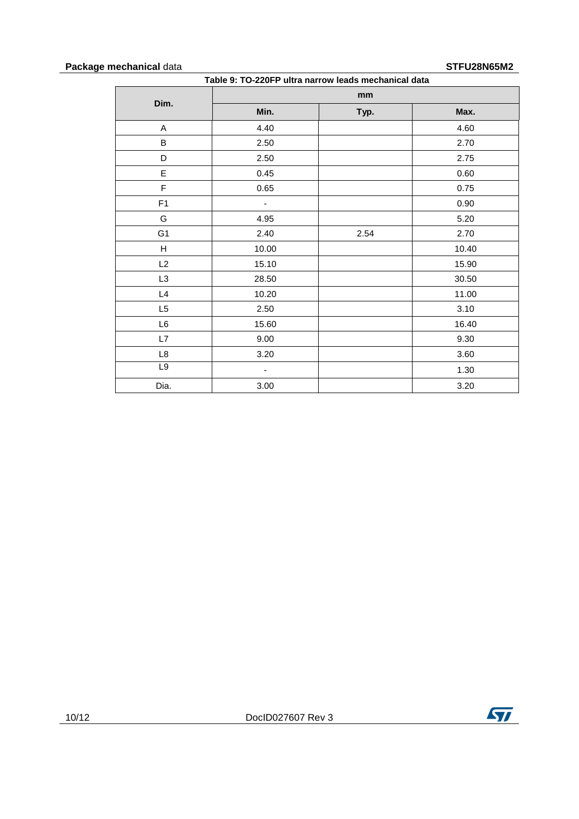#### **Package mechanical** data **STFU28N65M2**

| Table 9: TO-220FP ultra narrow leads mechanical data |       |      |       |
|------------------------------------------------------|-------|------|-------|
|                                                      |       | mm   |       |
| Dim.                                                 | Min.  | Typ. | Max.  |
| A                                                    | 4.40  |      | 4.60  |
| B                                                    | 2.50  |      | 2.70  |
| D                                                    | 2.50  |      | 2.75  |
| E                                                    | 0.45  |      | 0.60  |
| F                                                    | 0.65  |      | 0.75  |
| F <sub>1</sub>                                       | -     |      | 0.90  |
| G                                                    | 4.95  |      | 5.20  |
| G <sub>1</sub>                                       | 2.40  | 2.54 | 2.70  |
| H                                                    | 10.00 |      | 10.40 |
| L2                                                   | 15.10 |      | 15.90 |
| L <sub>3</sub>                                       | 28.50 |      | 30.50 |
| L4                                                   | 10.20 |      | 11.00 |
| L5                                                   | 2.50  |      | 3.10  |
| L6                                                   | 15.60 |      | 16.40 |
| L7                                                   | 9.00  |      | 9.30  |
| L8                                                   | 3.20  |      | 3.60  |
| L9                                                   | ۰     |      | 1.30  |
| Dia.                                                 | 3.00  |      | 3.20  |

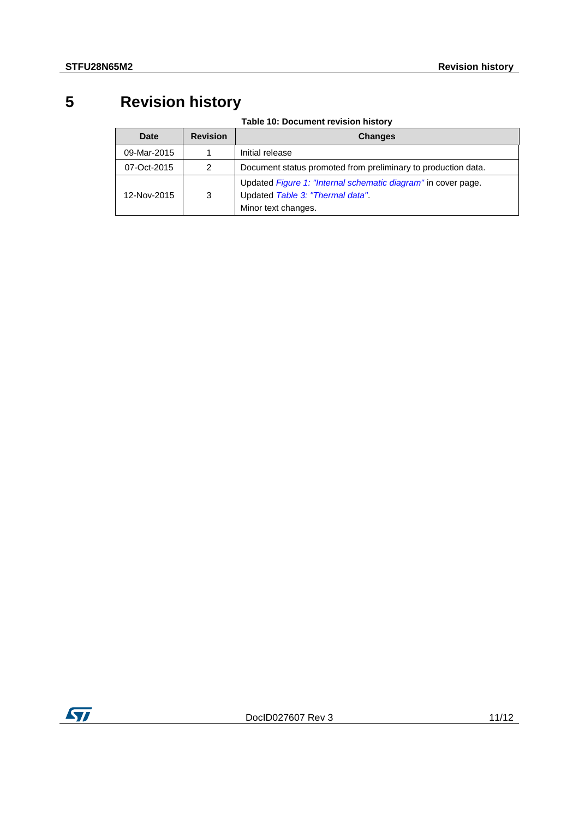## **5 Revision history**

**Table 10: Document revision history**

<span id="page-10-0"></span>

| <b>Date</b> | <b>Revision</b> | <b>Changes</b>                                                                                                          |
|-------------|-----------------|-------------------------------------------------------------------------------------------------------------------------|
| 09-Mar-2015 |                 | Initial release                                                                                                         |
| 07-Oct-2015 | 2               | Document status promoted from preliminary to production data.                                                           |
| 12-Nov-2015 | 3               | Updated Figure 1: "Internal schematic diagram" in cover page.<br>Updated Table 3: "Thermal data"<br>Minor text changes. |